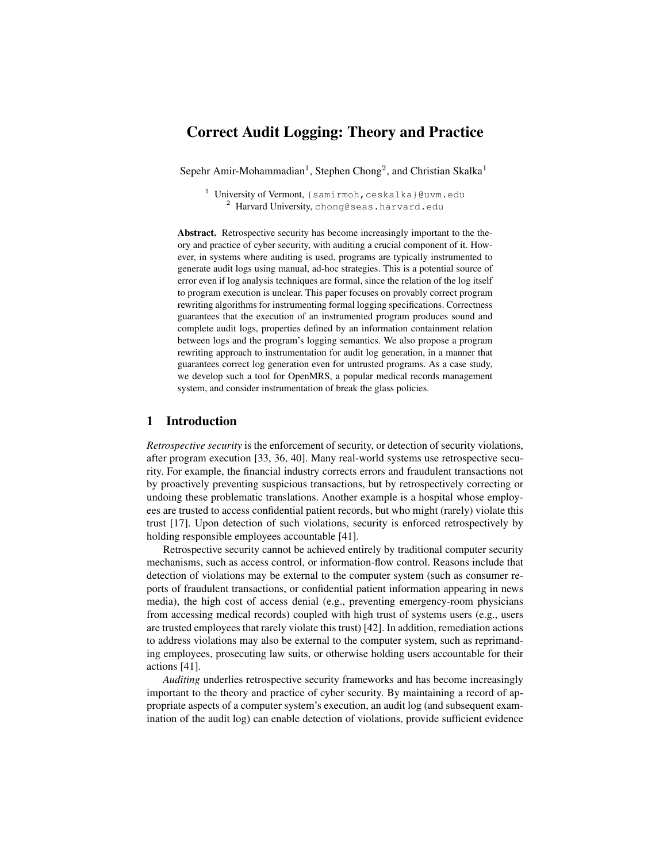# Correct Audit Logging: Theory and Practice

Sepehr Amir-Mohammadian<sup>1</sup>, Stephen Chong<sup>2</sup>, and Christian Skalka<sup>1</sup>

<sup>1</sup> University of Vermont, {samirmoh, ceskalka}@uvm.edu  $2$  Harvard University, chong@seas.harvard.edu

Abstract. Retrospective security has become increasingly important to the theory and practice of cyber security, with auditing a crucial component of it. However, in systems where auditing is used, programs are typically instrumented to generate audit logs using manual, ad-hoc strategies. This is a potential source of error even if log analysis techniques are formal, since the relation of the log itself to program execution is unclear. This paper focuses on provably correct program rewriting algorithms for instrumenting formal logging specifications. Correctness guarantees that the execution of an instrumented program produces sound and complete audit logs, properties defined by an information containment relation between logs and the program's logging semantics. We also propose a program rewriting approach to instrumentation for audit log generation, in a manner that guarantees correct log generation even for untrusted programs. As a case study, we develop such a tool for OpenMRS, a popular medical records management system, and consider instrumentation of break the glass policies.

# 1 Introduction

*Retrospective security* is the enforcement of security, or detection of security violations, after program execution [33, 36, 40]. Many real-world systems use retrospective security. For example, the financial industry corrects errors and fraudulent transactions not by proactively preventing suspicious transactions, but by retrospectively correcting or undoing these problematic translations. Another example is a hospital whose employees are trusted to access confidential patient records, but who might (rarely) violate this trust [17]. Upon detection of such violations, security is enforced retrospectively by holding responsible employees accountable [41].

Retrospective security cannot be achieved entirely by traditional computer security mechanisms, such as access control, or information-flow control. Reasons include that detection of violations may be external to the computer system (such as consumer reports of fraudulent transactions, or confidential patient information appearing in news media), the high cost of access denial (e.g., preventing emergency-room physicians from accessing medical records) coupled with high trust of systems users (e.g., users are trusted employees that rarely violate this trust) [42]. In addition, remediation actions to address violations may also be external to the computer system, such as reprimanding employees, prosecuting law suits, or otherwise holding users accountable for their actions [41].

*Auditing* underlies retrospective security frameworks and has become increasingly important to the theory and practice of cyber security. By maintaining a record of appropriate aspects of a computer system's execution, an audit log (and subsequent examination of the audit log) can enable detection of violations, provide sufficient evidence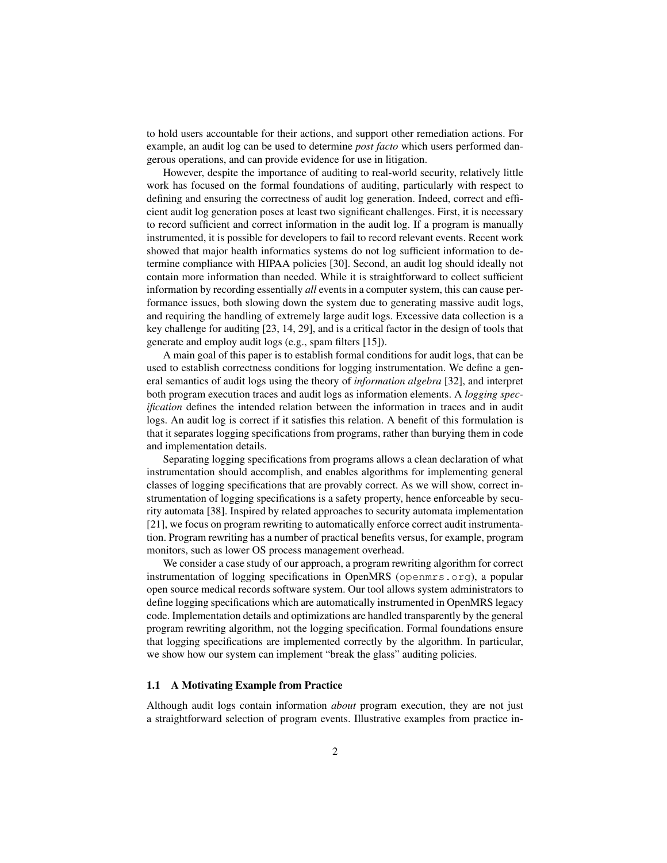to hold users accountable for their actions, and support other remediation actions. For example, an audit log can be used to determine *post facto* which users performed dangerous operations, and can provide evidence for use in litigation.

However, despite the importance of auditing to real-world security, relatively little work has focused on the formal foundations of auditing, particularly with respect to defining and ensuring the correctness of audit log generation. Indeed, correct and efficient audit log generation poses at least two significant challenges. First, it is necessary to record sufficient and correct information in the audit log. If a program is manually instrumented, it is possible for developers to fail to record relevant events. Recent work showed that major health informatics systems do not log sufficient information to determine compliance with HIPAA policies [30]. Second, an audit log should ideally not contain more information than needed. While it is straightforward to collect sufficient information by recording essentially *all* events in a computer system, this can cause performance issues, both slowing down the system due to generating massive audit logs, and requiring the handling of extremely large audit logs. Excessive data collection is a key challenge for auditing [23, 14, 29], and is a critical factor in the design of tools that generate and employ audit logs (e.g., spam filters [15]).

A main goal of this paper is to establish formal conditions for audit logs, that can be used to establish correctness conditions for logging instrumentation. We define a general semantics of audit logs using the theory of *information algebra* [32], and interpret both program execution traces and audit logs as information elements. A *logging specification* defines the intended relation between the information in traces and in audit logs. An audit log is correct if it satisfies this relation. A benefit of this formulation is that it separates logging specifications from programs, rather than burying them in code and implementation details.

Separating logging specifications from programs allows a clean declaration of what instrumentation should accomplish, and enables algorithms for implementing general classes of logging specifications that are provably correct. As we will show, correct instrumentation of logging specifications is a safety property, hence enforceable by security automata [38]. Inspired by related approaches to security automata implementation [21], we focus on program rewriting to automatically enforce correct audit instrumentation. Program rewriting has a number of practical benefits versus, for example, program monitors, such as lower OS process management overhead.

We consider a case study of our approach, a program rewriting algorithm for correct instrumentation of logging specifications in OpenMRS (openmrs.org), a popular open source medical records software system. Our tool allows system administrators to define logging specifications which are automatically instrumented in OpenMRS legacy code. Implementation details and optimizations are handled transparently by the general program rewriting algorithm, not the logging specification. Formal foundations ensure that logging specifications are implemented correctly by the algorithm. In particular, we show how our system can implement "break the glass" auditing policies.

### 1.1 A Motivating Example from Practice

Although audit logs contain information *about* program execution, they are not just a straightforward selection of program events. Illustrative examples from practice in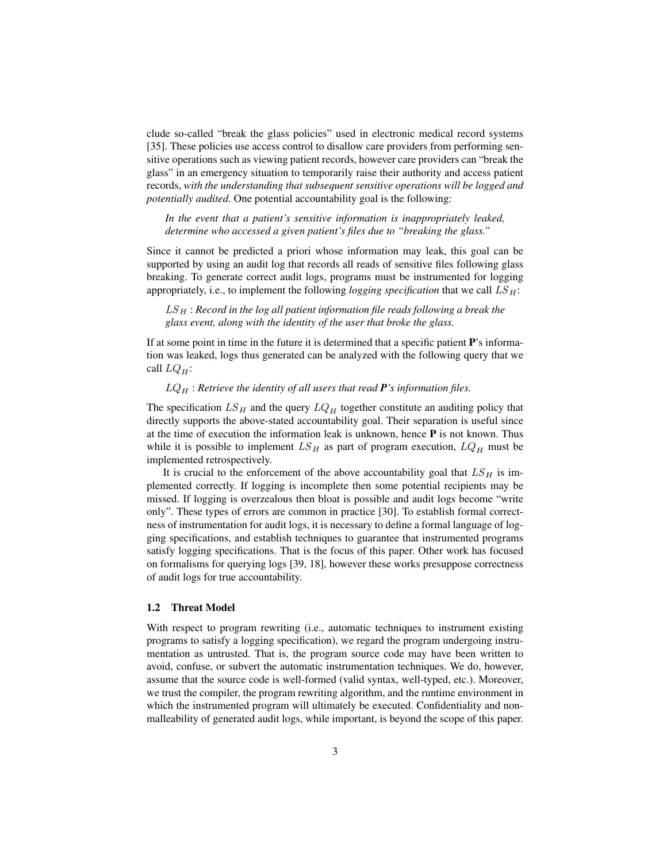clude so-called "break the glass policies" used in electronic medical record systems [35]. These policies use access control to disallow care providers from performing sensitive operations such as viewing patient records, however care providers can "break the glass" in an emergency situation to temporarily raise their authority and access patient records, *with the understanding that subsequent sensitive operations will be logged and potentially audited*. One potential accountability goal is the following:

*In the event that a patient's sensitive information is inappropriately leaked, determine who accessed a given patient's files due to "breaking the glass."*

Since it cannot be predicted a priori whose information may leak, this goal can be supported by using an audit log that records all reads of sensitive files following glass breaking. To generate correct audit logs, programs must be instrumented for logging appropriately, i.e., to implement the following *logging specification* that we call  $LS_H$ :

 $LS_H$ : Record in the log all patient information file reads following a break the *glass event, along with the identity of the user that broke the glass.*

If at some point in time in the future it is determined that a specific patient P's information was leaked, logs thus generated can be analyzed with the following query that we call  $LQ_H$ :

 $LQ_H$ : *Retrieve the identity of all users that read*  $P$ *'s information files.* 

The specification  $LS_H$  and the query  $LQ_H$  together constitute an auditing policy that directly supports the above-stated accountability goal. Their separation is useful since at the time of execution the information leak is unknown, hence  $P$  is not known. Thus while it is possible to implement  $LS_H$  as part of program execution,  $LQ_H$  must be implemented retrospectively.

It is crucial to the enforcement of the above accountability goal that  $LS_H$  is implemented correctly. If logging is incomplete then some potential recipients may be missed. If logging is overzealous then bloat is possible and audit logs become "write only". These types of errors are common in practice [30]. To establish formal correctness of instrumentation for audit logs, it is necessary to define a formal language of logging specifications, and establish techniques to guarantee that instrumented programs satisfy logging specifications. That is the focus of this paper. Other work has focused on formalisms for querying logs [39, 18], however these works presuppose correctness of audit logs for true accountability.

### 1.2 Threat Model

With respect to program rewriting *(i.e., automatic techniques to instrument existing* programs to satisfy a logging specification), we regard the program undergoing instrumentation as untrusted. That is, the program source code may have been written to avoid, confuse, or subvert the automatic instrumentation techniques. We do, however, assume that the source code is well-formed (valid syntax, well-typed, etc.). Moreover, we trust the compiler, the program rewriting algorithm, and the runtime environment in which the instrumented program will ultimately be executed. Confidentiality and nonmalleability of generated audit logs, while important, is beyond the scope of this paper.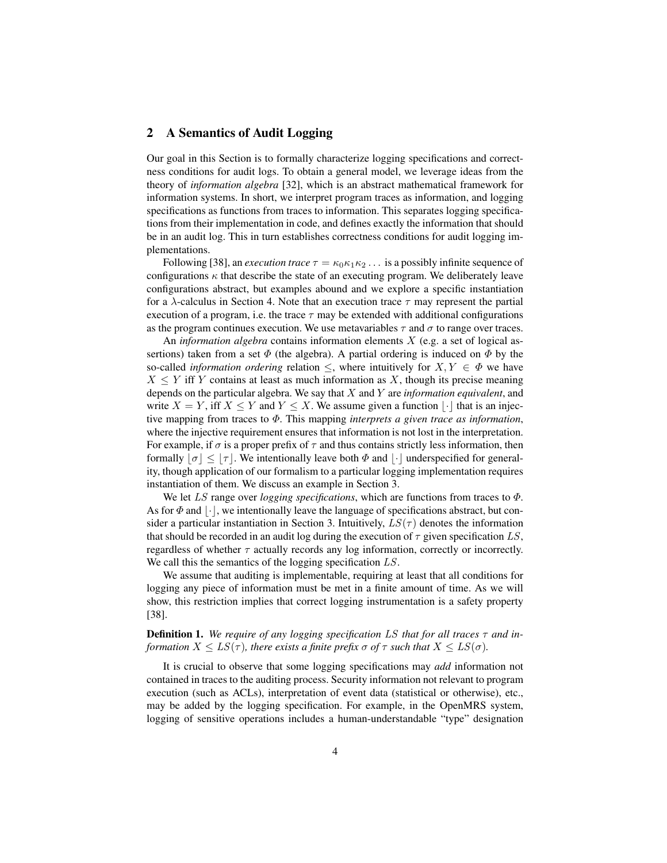# 2 A Semantics of Audit Logging

Our goal in this Section is to formally characterize logging specifications and correctness conditions for audit logs. To obtain a general model, we leverage ideas from the theory of *information algebra* [32], which is an abstract mathematical framework for information systems. In short, we interpret program traces as information, and logging specifications as functions from traces to information. This separates logging specifications from their implementation in code, and defines exactly the information that should be in an audit log. This in turn establishes correctness conditions for audit logging implementations.

Following [38], an *execution trace*  $\tau = \kappa_0 \kappa_1 \kappa_2 \dots$  is a possibly infinite sequence of configurations  $\kappa$  that describe the state of an executing program. We deliberately leave configurations abstract, but examples abound and we explore a specific instantiation for a  $\lambda$ -calculus in Section 4. Note that an execution trace  $\tau$  may represent the partial execution of a program, i.e. the trace  $\tau$  may be extended with additional configurations as the program continues execution. We use metavariables  $\tau$  and  $\sigma$  to range over traces.

An *information algebra* contains information elements X (e.g. a set of logical assertions) taken from a set  $\Phi$  (the algebra). A partial ordering is induced on  $\Phi$  by the so-called *information ordering* relation  $\leq$ , where intuitively for  $X, Y \in \Phi$  we have  $X \leq Y$  iff Y contains at least as much information as X, though its precise meaning depends on the particular algebra. We say that X and Y are *information equivalent*, and write  $X = Y$ , iff  $X \leq Y$  and  $Y \leq X$ . We assume given a function  $|\cdot|$  that is an injective mapping from traces to Φ. This mapping *interprets a given trace as information*, where the injective requirement ensures that information is not lost in the interpretation. For example, if  $\sigma$  is a proper prefix of  $\tau$  and thus contains strictly less information, then formally  $|\sigma| < |\tau|$ . We intentionally leave both  $\Phi$  and  $|\cdot|$  underspecified for generality, though application of our formalism to a particular logging implementation requires instantiation of them. We discuss an example in Section 3.

We let LS range over *logging specifications*, which are functions from traces to Φ. As for  $\Phi$  and  $\vert \cdot \vert$ , we intentionally leave the language of specifications abstract, but consider a particular instantiation in Section 3. Intuitively,  $LS(\tau)$  denotes the information that should be recorded in an audit log during the execution of  $\tau$  given specification LS, regardless of whether  $\tau$  actually records any log information, correctly or incorrectly. We call this the semantics of the logging specification  $LS$ .

We assume that auditing is implementable, requiring at least that all conditions for logging any piece of information must be met in a finite amount of time. As we will show, this restriction implies that correct logging instrumentation is a safety property [38].

Definition 1. *We require of any logging specification* LS *that for all traces* τ *and information*  $X \leq LS(\tau)$ *, there exists a finite prefix*  $\sigma$  *of*  $\tau$  *such that*  $X \leq LS(\sigma)$ *.* 

It is crucial to observe that some logging specifications may *add* information not contained in traces to the auditing process. Security information not relevant to program execution (such as ACLs), interpretation of event data (statistical or otherwise), etc., may be added by the logging specification. For example, in the OpenMRS system, logging of sensitive operations includes a human-understandable "type" designation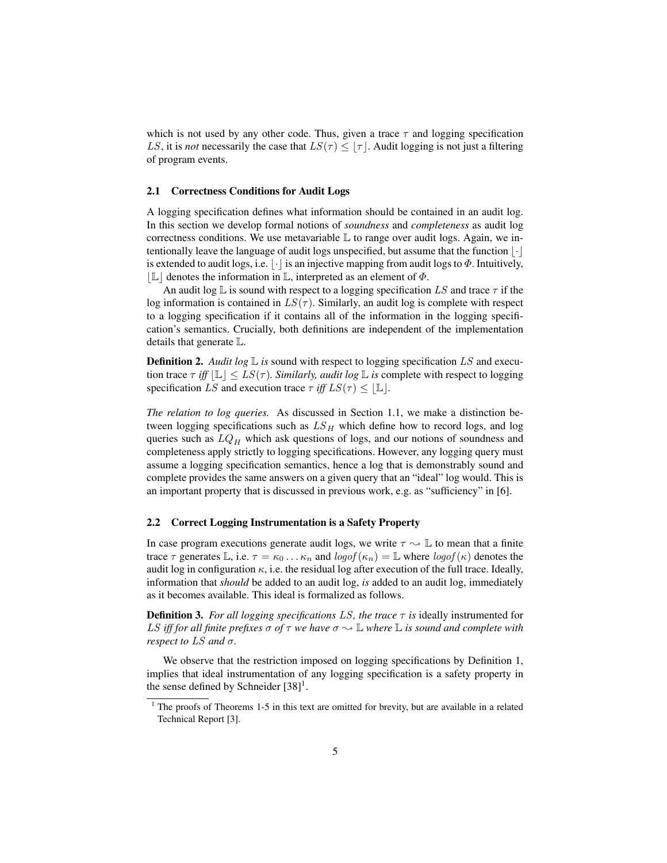which is not used by any other code. Thus, given a trace  $\tau$  and logging specification LS, it is *not* necessarily the case that  $LS(\tau) \leq |\tau|$ . Audit logging is not just a filtering of program events.

#### 2.1 Correctness Conditions for Audit Logs

A logging specification defines what information should be contained in an audit log. In this section we develop formal notions of *soundness* and *completeness* as audit log correctness conditions. We use metavariable  $\mathbb L$  to range over audit logs. Again, we intentionally leave the language of audit logs unspecified, but assume that the function  $|\cdot|$ is extended to audit logs, i.e.  $|\cdot|$  is an injective mapping from audit logs to  $\Phi$ . Intuitively,  $|\mathbb{L}|$  denotes the information in  $\mathbb{L}$ , interpreted as an element of  $\Phi$ .

An audit log L is sound with respect to a logging specification LS and trace  $\tau$  if the log information is contained in  $LS(\tau)$ . Similarly, an audit log is complete with respect to a logging specification if it contains all of the information in the logging specification's semantics. Crucially, both definitions are independent of the implementation details that generate L.

**Definition 2.** *Audit log*  $\mathbb{L}$  *is* sound with respect to logging specification LS and execution trace  $\tau$  *iff*  $|\mathbb{L}| \leq LS(\tau)$ *. Similarly, audit log*  $\mathbb{L}$  *is* complete with respect to logging specification LS and execution trace  $\tau$  *iff*  $LS(\tau) \leq |L|$ .

*The relation to log queries.* As discussed in Section 1.1, we make a distinction between logging specifications such as  $LS_H$  which define how to record logs, and log queries such as  $LQ_H$  which ask questions of logs, and our notions of soundness and completeness apply strictly to logging specifications. However, any logging query must assume a logging specification semantics, hence a log that is demonstrably sound and complete provides the same answers on a given query that an "ideal" log would. This is an important property that is discussed in previous work, e.g. as "sufficiency" in [6].

### 2.2 Correct Logging Instrumentation is a Safety Property

In case program executions generate audit logs, we write  $\tau \rightarrow \mathbb{L}$  to mean that a finite trace  $\tau$  generates L, i.e.  $\tau = \kappa_0 \dots \kappa_n$  and  $logof(\kappa_n) = \mathbb{L}$  where  $logof(\kappa)$  denotes the audit log in configuration  $\kappa$ , i.e. the residual log after execution of the full trace. Ideally, information that *should* be added to an audit log, *is* added to an audit log, immediately as it becomes available. This ideal is formalized as follows.

**Definition 3.** For all logging specifications LS, the trace  $\tau$  is ideally instrumented for LS *iff for all finite prefixes*  $\sigma$  *of*  $\tau$  *we have*  $\sigma \sim \mathbb{L}$  *where*  $\mathbb{L}$  *is sound and complete with respect to* LS *and* σ*.*

We observe that the restriction imposed on logging specifications by Definition 1, implies that ideal instrumentation of any logging specification is a safety property in the sense defined by Schneider  $[38]$ <sup>1</sup>.

 $1$  The proofs of Theorems 1-5 in this text are omitted for brevity, but are available in a related Technical Report [3].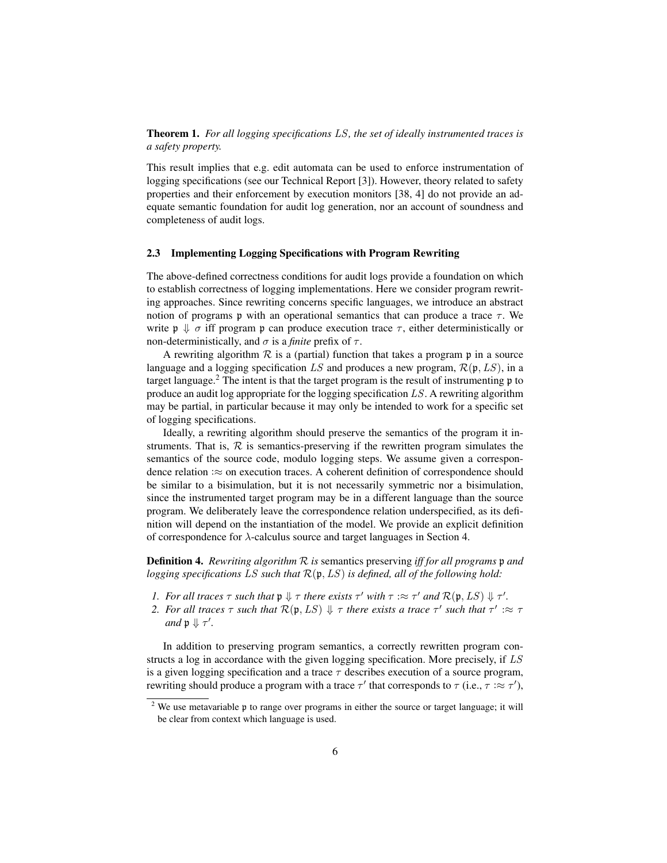Theorem 1. *For all logging specifications* LS*, the set of ideally instrumented traces is a safety property.*

This result implies that e.g. edit automata can be used to enforce instrumentation of logging specifications (see our Technical Report [3]). However, theory related to safety properties and their enforcement by execution monitors [38, 4] do not provide an adequate semantic foundation for audit log generation, nor an account of soundness and completeness of audit logs.

#### 2.3 Implementing Logging Specifications with Program Rewriting

The above-defined correctness conditions for audit logs provide a foundation on which to establish correctness of logging implementations. Here we consider program rewriting approaches. Since rewriting concerns specific languages, we introduce an abstract notion of programs p with an operational semantics that can produce a trace  $\tau$ . We write  $\mathfrak{p} \downarrow \sigma$  iff program p can produce execution trace  $\tau$ , either deterministically or non-deterministically, and  $\sigma$  is a *finite* prefix of  $\tau$ .

A rewriting algorithm  $R$  is a (partial) function that takes a program  $\mathfrak p$  in a source language and a logging specification LS and produces a new program,  $\mathcal{R}(\mathfrak{p}, \mathfrak{L}S)$ , in a target language.<sup>2</sup> The intent is that the target program is the result of instrumenting  $\mathfrak p$  to produce an audit log appropriate for the logging specification LS. A rewriting algorithm may be partial, in particular because it may only be intended to work for a specific set of logging specifications.

Ideally, a rewriting algorithm should preserve the semantics of the program it instruments. That is,  $R$  is semantics-preserving if the rewritten program simulates the semantics of the source code, modulo logging steps. We assume given a correspondence relation  $:\approx$  on execution traces. A coherent definition of correspondence should be similar to a bisimulation, but it is not necessarily symmetric nor a bisimulation, since the instrumented target program may be in a different language than the source program. We deliberately leave the correspondence relation underspecified, as its definition will depend on the instantiation of the model. We provide an explicit definition of correspondence for  $\lambda$ -calculus source and target languages in Section 4.

Definition 4. *Rewriting algorithm* R *is* semantics preserving *iff for all programs* p *and logging specifications* LS *such that* R(p, LS) *is defined, all of the following hold:*

- *1. For all traces*  $\tau$  *such that*  $\mathfrak{p} \downarrow \tau$  *there exists*  $\tau'$  *with*  $\tau : \approx \tau'$  *and*  $\mathcal{R}(\mathfrak{p}, LS) \downarrow \tau'$ *.*
- 2. For all traces  $\tau$  such that  $\mathcal{R}(\mathfrak{p},LS) \Downarrow \tau$  there exists a trace  $\tau'$  such that  $\tau' : \approx \tau$ *and*  $\mathfrak{p} \Downarrow \tau'$ .

In addition to preserving program semantics, a correctly rewritten program constructs a log in accordance with the given logging specification. More precisely, if LS is a given logging specification and a trace  $\tau$  describes execution of a source program, rewriting should produce a program with a trace  $\tau'$  that corresponds to  $\tau$  (i.e.,  $\tau \approx \tau'$ ),

 $2$  We use metavariable  $\mathfrak p$  to range over programs in either the source or target language; it will be clear from context which language is used.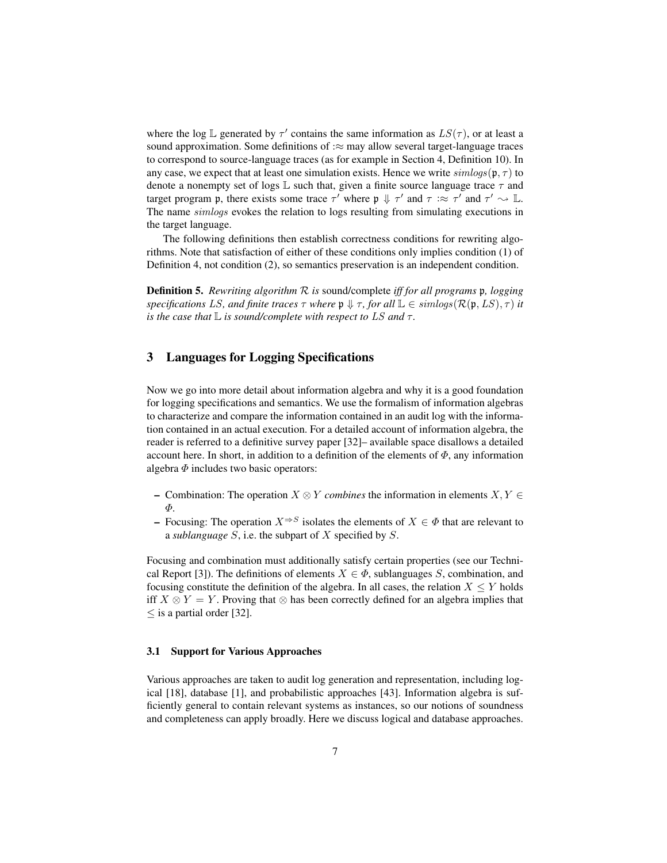where the log L generated by  $\tau'$  contains the same information as  $LS(\tau)$ , or at least a sound approximation. Some definitions of  $\approx$  may allow several target-language traces to correspond to source-language traces (as for example in Section 4, Definition 10). In any case, we expect that at least one simulation exists. Hence we write  $\sin \theta \cos(\mathfrak{p}, \tau)$  to denote a nonempty set of logs  $\mathbb L$  such that, given a finite source language trace  $\tau$  and target program p, there exists some trace  $\tau'$  where  $p \Downarrow \tau'$  and  $\tau : \approx \tau'$  and  $\tau' \sim \mathbb{L}$ . The name *simlogs* evokes the relation to logs resulting from simulating executions in the target language.

The following definitions then establish correctness conditions for rewriting algorithms. Note that satisfaction of either of these conditions only implies condition (1) of Definition 4, not condition (2), so semantics preservation is an independent condition.

Definition 5. *Rewriting algorithm* R *is* sound/complete *iff for all programs* p*, logging specifications* LS, and finite traces  $\tau$  where  $\mathfrak{p} \downarrow \tau$ , for all  $\mathbb{L} \in$  simlogs( $\mathcal{R}(\mathfrak{p}, LS)$ ,  $\tau$ ) *it is the case that*  $\mathbb{L}$  *is sound/complete with respect to*  $LS$  *and*  $\tau$ *.* 

# 3 Languages for Logging Specifications

Now we go into more detail about information algebra and why it is a good foundation for logging specifications and semantics. We use the formalism of information algebras to characterize and compare the information contained in an audit log with the information contained in an actual execution. For a detailed account of information algebra, the reader is referred to a definitive survey paper [32]– available space disallows a detailed account here. In short, in addition to a definition of the elements of  $\Phi$ , any information algebra  $\Phi$  includes two basic operators:

- Combination: The operation X ⊗ Y *combines* the information in elements X, Y ∈ Φ.
- Focusing: The operation  $X^{\Rightarrow S}$  isolates the elements of  $X \in \Phi$  that are relevant to a *sublanguage* S, i.e. the subpart of X specified by S.

Focusing and combination must additionally satisfy certain properties (see our Technical Report [3]). The definitions of elements  $X \in \Phi$ , sublanguages S, combination, and focusing constitute the definition of the algebra. In all cases, the relation  $X \leq Y$  holds iff  $X \otimes Y = Y$ . Proving that  $\otimes$  has been correctly defined for an algebra implies that  $\leq$  is a partial order [32].

### 3.1 Support for Various Approaches

Various approaches are taken to audit log generation and representation, including logical [18], database [1], and probabilistic approaches [43]. Information algebra is sufficiently general to contain relevant systems as instances, so our notions of soundness and completeness can apply broadly. Here we discuss logical and database approaches.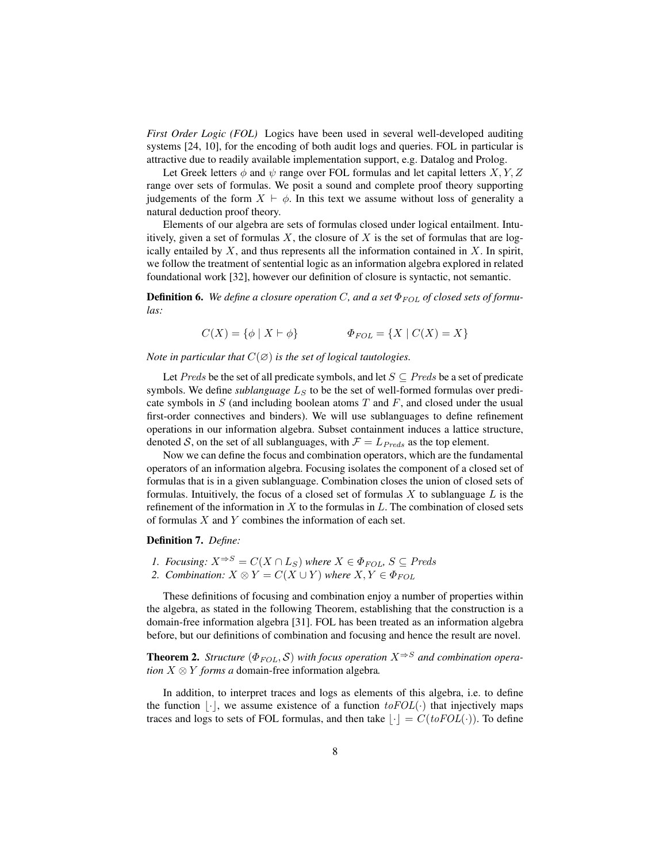*First Order Logic (FOL)* Logics have been used in several well-developed auditing systems [24, 10], for the encoding of both audit logs and queries. FOL in particular is attractive due to readily available implementation support, e.g. Datalog and Prolog.

Let Greek letters  $\phi$  and  $\psi$  range over FOL formulas and let capital letters  $X, Y, Z$ range over sets of formulas. We posit a sound and complete proof theory supporting judgements of the form  $X \vdash \phi$ . In this text we assume without loss of generality a natural deduction proof theory.

Elements of our algebra are sets of formulas closed under logical entailment. Intuitively, given a set of formulas  $X$ , the closure of  $X$  is the set of formulas that are logically entailed by  $X$ , and thus represents all the information contained in  $X$ . In spirit, we follow the treatment of sentential logic as an information algebra explored in related foundational work [32], however our definition of closure is syntactic, not semantic.

**Definition 6.** We define a closure operation C, and a set  $\Phi_{FOL}$  of closed sets of formu*las:*

$$
C(X) = \{ \phi \mid X \vdash \phi \} \qquad \Phi_{FOL} = \{ X \mid C(X) = X \}
$$

*Note in particular that*  $C(\emptyset)$  *is the set of logical tautologies.* 

Let Preds be the set of all predicate symbols, and let  $S \subseteq Preds$  be a set of predicate symbols. We define *sublanguage*  $L<sub>S</sub>$  to be the set of well-formed formulas over predicate symbols in  $S$  (and including boolean atoms  $T$  and  $F$ , and closed under the usual first-order connectives and binders). We will use sublanguages to define refinement operations in our information algebra. Subset containment induces a lattice structure, denoted S, on the set of all sublanguages, with  $\mathcal{F} = L_{Preds}$  as the top element.

Now we can define the focus and combination operators, which are the fundamental operators of an information algebra. Focusing isolates the component of a closed set of formulas that is in a given sublanguage. Combination closes the union of closed sets of formulas. Intuitively, the focus of a closed set of formulas X to sublanguage  $L$  is the refinement of the information in  $X$  to the formulas in  $L$ . The combination of closed sets of formulas  $X$  and  $Y$  combines the information of each set.

### Definition 7. *Define:*

- *1. Focusing:*  $X^{\Rightarrow S} = C(X \cap L_S)$  *where*  $X \in \Phi_{FOL}$ ,  $S \subseteq Preds$
- *2. Combination:*  $X \otimes Y = C(X \cup Y)$  *where*  $X, Y \in \Phi_{FOL}$

These definitions of focusing and combination enjoy a number of properties within the algebra, as stated in the following Theorem, establishing that the construction is a domain-free information algebra [31]. FOL has been treated as an information algebra before, but our definitions of combination and focusing and hence the result are novel.

**Theorem 2.** *Structure* ( $\Phi_{FOL}$ , S) *with focus operation*  $X \rightarrow S$  *and combination operation* X ⊗ Y *forms a* domain-free information algebra*.*

In addition, to interpret traces and logs as elements of this algebra, i.e. to define the function  $|\cdot|$ , we assume existence of a function  $toFOL(\cdot)$  that injectively maps traces and logs to sets of FOL formulas, and then take  $|\cdot| = C(t \circ FOL(\cdot))$ . To define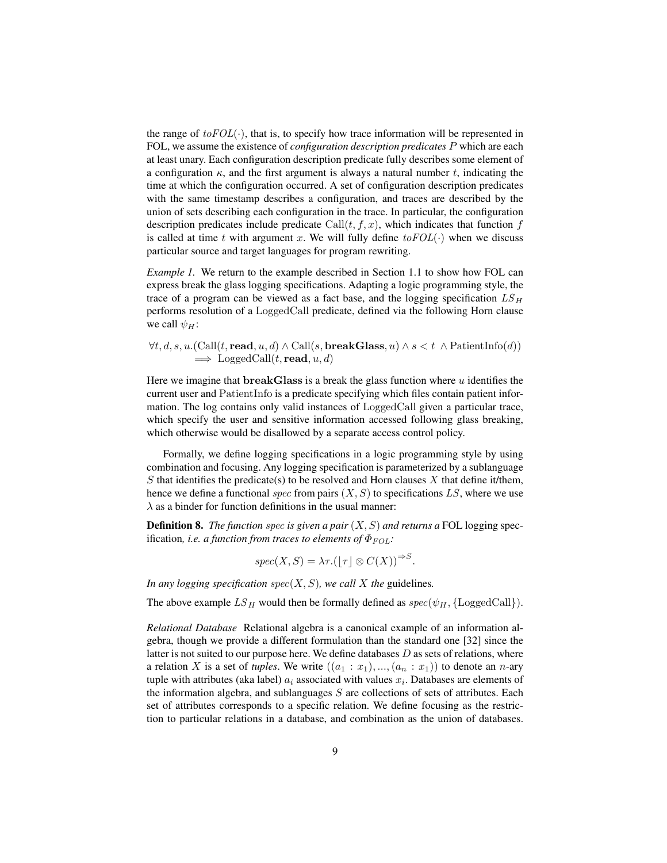the range of  $toFOL(\cdot)$ , that is, to specify how trace information will be represented in FOL, we assume the existence of *configuration description predicates* P which are each at least unary. Each configuration description predicate fully describes some element of a configuration  $\kappa$ , and the first argument is always a natural number t, indicating the time at which the configuration occurred. A set of configuration description predicates with the same timestamp describes a configuration, and traces are described by the union of sets describing each configuration in the trace. In particular, the configuration description predicates include predicate Call $(t, f, x)$ , which indicates that function f is called at time t with argument x. We will fully define  $toFOL(\cdot)$  when we discuss particular source and target languages for program rewriting.

*Example 1.* We return to the example described in Section 1.1 to show how FOL can express break the glass logging specifications. Adapting a logic programming style, the trace of a program can be viewed as a fact base, and the logging specification  $LS_H$ performs resolution of a LoggedCall predicate, defined via the following Horn clause we call  $\psi_H$ :

 $\forall t, d, s, u.$ (Call $(t, \text{read}, u, d) \wedge \text{Call}(s, \text{breakGlass}, u) \wedge s < t \wedge \text{PatientInfo}(d))$  $\implies$  LoggedCall(t, read, u, d)

Here we imagine that  $breakG$  as is a break the glass function where  $u$  identifies the current user and PatientInfo is a predicate specifying which files contain patient information. The log contains only valid instances of LoggedCall given a particular trace, which specify the user and sensitive information accessed following glass breaking, which otherwise would be disallowed by a separate access control policy.

Formally, we define logging specifications in a logic programming style by using combination and focusing. Any logging specification is parameterized by a sublanguage S that identifies the predicate(s) to be resolved and Horn clauses  $X$  that define it/them, hence we define a functional *spec* from pairs  $(X, S)$  to specifications LS, where we use  $\lambda$  as a binder for function definitions in the usual manner:

Definition 8. *The function* spec *is given a pair* (X, S) *and returns a* FOL logging specification, *i.e. a function from traces to elements of*  $\Phi_{FOL}$ :

$$
spec(X, S) = \lambda \tau. (\vert \tau \vert \otimes C(X)) \rightarrow S.
$$

*In any logging specification spec* $(X, S)$ *, we call* X *the* guidelines.

The above example  $LS_H$  would then be formally defined as  $spec(\psi_H, {\text{LoggedCall}})$ .

*Relational Database* Relational algebra is a canonical example of an information algebra, though we provide a different formulation than the standard one [32] since the latter is not suited to our purpose here. We define databases  $D$  as sets of relations, where a relation X is a set of *tuples*. We write  $((a_1 : x_1), ..., (a_n : x_1))$  to denote an *n*-ary tuple with attributes (aka label)  $a_i$  associated with values  $x_i$ . Databases are elements of the information algebra, and sublanguages  $S$  are collections of sets of attributes. Each set of attributes corresponds to a specific relation. We define focusing as the restriction to particular relations in a database, and combination as the union of databases.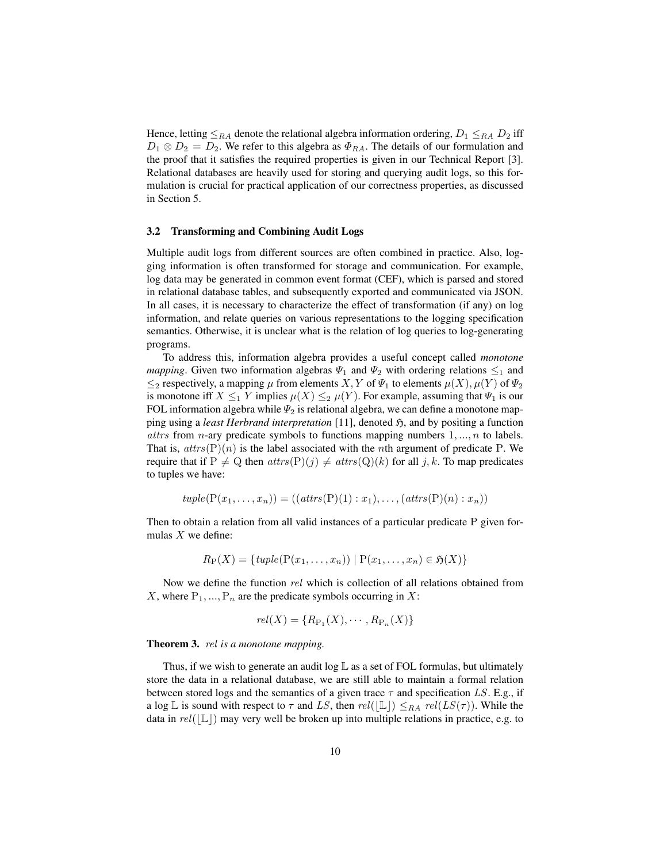Hence, letting  $\leq_{RA}$  denote the relational algebra information ordering,  $D_1 \leq_{RA} D_2$  iff  $D_1 \otimes D_2 = D_2$ . We refer to this algebra as  $\Phi_{RA}$ . The details of our formulation and the proof that it satisfies the required properties is given in our Technical Report [3]. Relational databases are heavily used for storing and querying audit logs, so this formulation is crucial for practical application of our correctness properties, as discussed in Section 5.

# 3.2 Transforming and Combining Audit Logs

Multiple audit logs from different sources are often combined in practice. Also, logging information is often transformed for storage and communication. For example, log data may be generated in common event format (CEF), which is parsed and stored in relational database tables, and subsequently exported and communicated via JSON. In all cases, it is necessary to characterize the effect of transformation (if any) on log information, and relate queries on various representations to the logging specification semantics. Otherwise, it is unclear what is the relation of log queries to log-generating programs.

To address this, information algebra provides a useful concept called *monotone mapping*. Given two information algebras  $\Psi_1$  and  $\Psi_2$  with ordering relations  $\leq_1$  and  $\leq_2$  respectively, a mapping  $\mu$  from elements  $X, Y$  of  $\Psi_1$  to elements  $\mu(X), \mu(Y)$  of  $\Psi_2$ is monotone iff  $X \leq_1 Y$  implies  $\mu(X) \leq_2 \mu(Y)$ . For example, assuming that  $\Psi_1$  is our FOL information algebra while  $\Psi_2$  is relational algebra, we can define a monotone mapping using a *least Herbrand interpretation* [11], denoted  $\mathfrak{H}$ , and by positing a function *attrs* from *n*-ary predicate symbols to functions mapping numbers  $1, ..., n$  to labels. That is,  $attrs(P)(n)$  is the label associated with the nth argument of predicate P. We require that if  $P \neq Q$  then  $attrs(P)(j) \neq attrs(Q)(k)$  for all j, k. To map predicates to tuples we have:

 $tuple(P(x_1, ..., x_n)) = ((attrs(P)(1) : x_1), ..., (attrs(P)(n) : x_n))$ 

Then to obtain a relation from all valid instances of a particular predicate P given formulas  $X$  we define:

$$
R_{\mathcal{P}}(X) = \{ \text{tuple}(\mathcal{P}(x_1, \ldots, x_n)) \mid \mathcal{P}(x_1, \ldots, x_n) \in \mathfrak{H}(X) \}
$$

Now we define the function rel which is collection of all relations obtained from X, where  $P_1, ..., P_n$  are the predicate symbols occurring in X:

$$
rel(X) = \{R_{P_1}(X), \cdots, R_{P_n}(X)\}
$$

Theorem 3. rel *is a monotone mapping.*

Thus, if we wish to generate an audit  $\log \mathbb{L}$  as a set of FOL formulas, but ultimately store the data in a relational database, we are still able to maintain a formal relation between stored logs and the semantics of a given trace  $\tau$  and specification LS. E.g., if a log L is sound with respect to  $\tau$  and LS, then  $rel(\lfloor L\rfloor) \leq_{RA} rel(LS(\tau))$ . While the data in  $rel(||L||)$  may very well be broken up into multiple relations in practice, e.g. to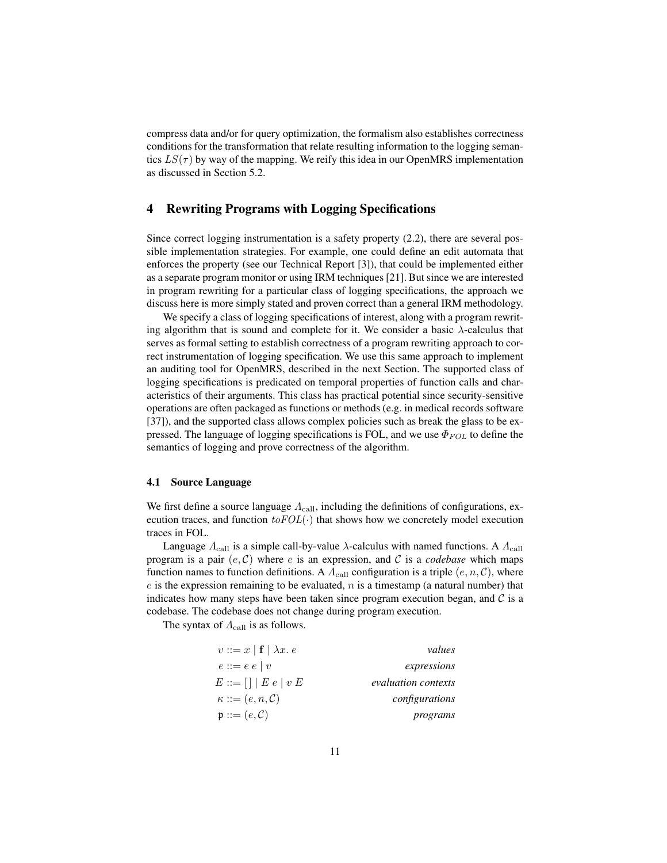compress data and/or for query optimization, the formalism also establishes correctness conditions for the transformation that relate resulting information to the logging semantics  $LS(\tau)$  by way of the mapping. We reify this idea in our OpenMRS implementation as discussed in Section 5.2.

# 4 Rewriting Programs with Logging Specifications

Since correct logging instrumentation is a safety property (2.2), there are several possible implementation strategies. For example, one could define an edit automata that enforces the property (see our Technical Report [3]), that could be implemented either as a separate program monitor or using IRM techniques [21]. But since we are interested in program rewriting for a particular class of logging specifications, the approach we discuss here is more simply stated and proven correct than a general IRM methodology.

We specify a class of logging specifications of interest, along with a program rewriting algorithm that is sound and complete for it. We consider a basic  $\lambda$ -calculus that serves as formal setting to establish correctness of a program rewriting approach to correct instrumentation of logging specification. We use this same approach to implement an auditing tool for OpenMRS, described in the next Section. The supported class of logging specifications is predicated on temporal properties of function calls and characteristics of their arguments. This class has practical potential since security-sensitive operations are often packaged as functions or methods (e.g. in medical records software [37]), and the supported class allows complex policies such as break the glass to be expressed. The language of logging specifications is FOL, and we use  $\Phi_{FOL}$  to define the semantics of logging and prove correctness of the algorithm.

#### 4.1 Source Language

We first define a source language  $\Lambda_{\text{call}}$ , including the definitions of configurations, execution traces, and function  $to FOL(\cdot)$  that shows how we concretely model execution traces in FOL.

Language  $\Lambda_{\text{call}}$  is a simple call-by-value  $\lambda$ -calculus with named functions. A  $\Lambda_{\text{call}}$ program is a pair  $(e, C)$  where e is an expression, and C is a *codebase* which maps function names to function definitions. A  $\Lambda_{\text{call}}$  configuration is a triple  $(e, n, C)$ , where  $e$  is the expression remaining to be evaluated,  $n$  is a timestamp (a natural number) that indicates how many steps have been taken since program execution began, and  $\mathcal C$  is a codebase. The codebase does not change during program execution.

The syntax of  $\Lambda_{\text{call}}$  is as follows.

| $v ::= x   f   \lambda x. e$        | values              |
|-------------------------------------|---------------------|
| $e ::= e e   v$                     | expressions         |
| $E ::=      E e   v E$              | evaluation contexts |
| $\kappa ::= (e, n, \mathcal{C})$    | configurations      |
| $\mathfrak{p} ::= (e, \mathcal{C})$ | programs            |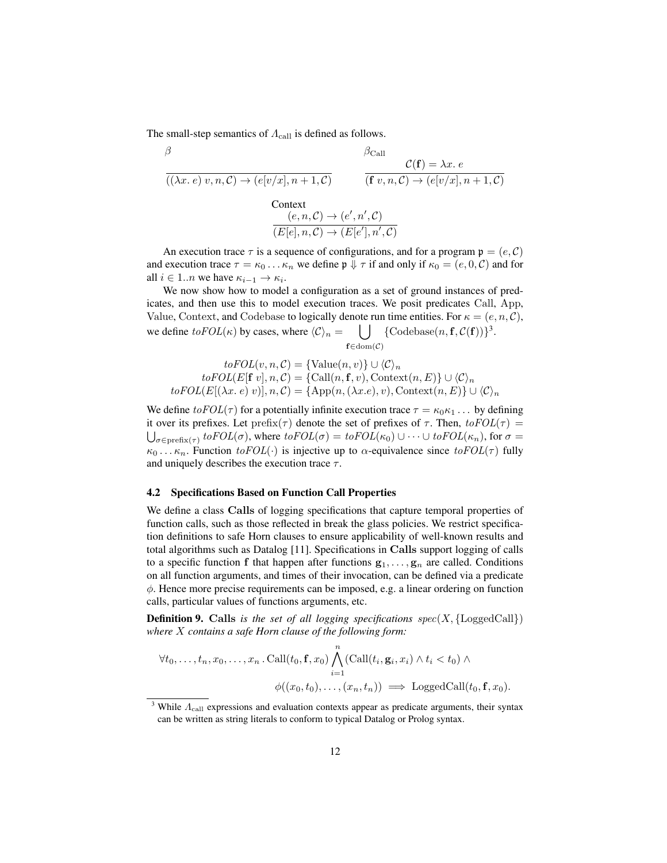The small-step semantics of  $\Lambda_{\text{call}}$  is defined as follows.

$$
\beta
$$
\n
$$
\beta
$$
\n
$$
\frac{\beta_{\text{Call}}}{((\lambda x. e) v, n, \mathcal{C}) \rightarrow (e[v/x], n+1, \mathcal{C})}
$$
\n
$$
\frac{\mathcal{C}(\mathbf{f}) = \lambda x. e}{(\mathbf{f} v, n, \mathcal{C}) \rightarrow (e[v/x], n+1, \mathcal{C})}
$$
\n
$$
\text{Context}_{(e, n, \mathcal{C}) \rightarrow (e', n', \mathcal{C})}
$$
\n
$$
\frac{\mathcal{C}(\mathbf{f}) = \lambda x. e}{(E[e], n, \mathcal{C}) \rightarrow (E[e'], n', \mathcal{C})}
$$

An execution trace  $\tau$  is a sequence of configurations, and for a program  $\mathfrak{p} = (e, \mathcal{C})$ and execution trace  $\tau = \kappa_0 \dots \kappa_n$  we define  $\mathfrak{p} \downarrow \tau$  if and only if  $\kappa_0 = (e, 0, \mathcal{C})$  and for all  $i \in 1..n$  we have  $\kappa_{i-1} \to \kappa_i$ .

We now show how to model a configuration as a set of ground instances of predicates, and then use this to model execution traces. We posit predicates Call, App, Value, Context, and Codebase to logically denote run time entities. For  $\kappa = (e, n, C)$ , we define  $to FOL(\kappa)$  by cases, where  $\langle C \rangle_n = \quad \begin{bmatrix} \end{bmatrix} \quad \{\text{Codebase}(n, \mathbf{f}, C(\mathbf{f}))\}^3$ .  $f \in \text{dom}(\mathcal{C})$ 

$$
toFOL(v, n, C) = {\text{Value}(n, v)} \cup \langle C \rangle_n
$$

$$
toFOL(E[\mathbf{f} \ v], n, C) = {\text{Call}(n, \mathbf{f}, v), \text{Context}(n, E)} \cup \langle C \rangle_n
$$

$$
toFOL(E[(\lambda x. e) \ v)], n, C) = {\text{App}(n, (\lambda x. e), v), \text{Context}(n, E)} \cup \langle C \rangle_n
$$

We define  $toFOL(\tau)$  for a potentially infinite execution trace  $\tau = \kappa_0 \kappa_1 \dots$  by defining it over its prefixes. Let  $\text{prefix}(\tau)$  denote the set of prefixes of  $\tau$ . Then,  $toFOL(\tau)$  =  $\bigcup_{\sigma \in \text{prefix}(\tau)} \text{toFOL}(\sigma)$ , where  $\text{toFOL}(\sigma) = \text{toFOL}(\kappa_0) \cup \cdots \cup \text{toFOL}(\kappa_n)$ , for  $\sigma =$  $\kappa_0 \dots \kappa_n$ . Function  $to FOL(\cdot)$  is injective up to  $\alpha$ -equivalence since  $to FOL(\tau)$  fully and uniquely describes the execution trace  $\tau$ .

### 4.2 Specifications Based on Function Call Properties

We define a class Calls of logging specifications that capture temporal properties of function calls, such as those reflected in break the glass policies. We restrict specification definitions to safe Horn clauses to ensure applicability of well-known results and total algorithms such as Datalog [11]. Specifications in Calls support logging of calls to a specific function f that happen after functions  $g_1, \ldots, g_n$  are called. Conditions on all function arguments, and times of their invocation, can be defined via a predicate  $\phi$ . Hence more precise requirements can be imposed, e.g. a linear ordering on function calls, particular values of functions arguments, etc.

**Definition 9.** Calls *is the set of all logging specifications spec* $(X, \{\text{LoggedCall}\})$ *where* X *contains a safe Horn clause of the following form:*

$$
\forall t_0, \ldots, t_n, x_0, \ldots, x_n \text{. Call}(t_0, \mathbf{f}, x_0) \bigwedge_{i=1}^n (\text{Call}(t_i, \mathbf{g}_i, x_i) \land t_i < t_0) \land \n\phi((x_0, t_0), \ldots, (x_n, t_n)) \implies \text{LoggedCall}(t_0, \mathbf{f}, x_0).
$$

<sup>&</sup>lt;sup>3</sup> While  $\Lambda_{\text{call}}$  expressions and evaluation contexts appear as predicate arguments, their syntax can be written as string literals to conform to typical Datalog or Prolog syntax.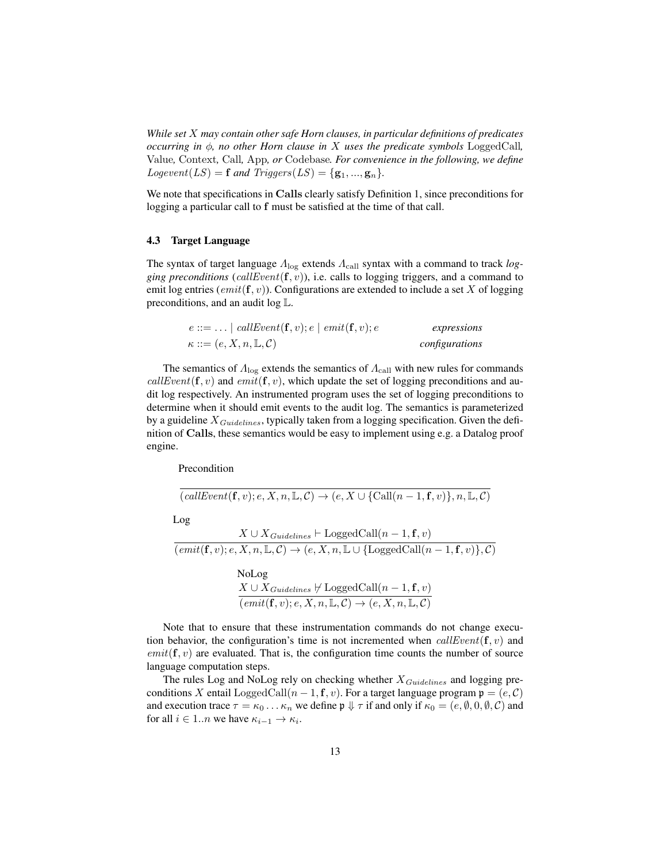*While set* X *may contain other safe Horn clauses, in particular definitions of predicates occurring in* φ*, no other Horn clause in* X *uses the predicate symbols* LoggedCall*,* Value*,* Context*,* Call*,* App*, or* Codebase*. For convenience in the following, we define*  $Logevent(LS) = \{ \textbf{g}_1, ..., \textbf{g}_n \}.$ 

We note that specifications in Calls clearly satisfy Definition 1, since preconditions for logging a particular call to f must be satisfied at the time of that call.

### 4.3 Target Language

The syntax of target language Λlog extends Λcall syntax with a command to track *logging preconditions* (*callEvent*( $f, v$ )), i.e. calls to logging triggers, and a command to emit log entries ( $emit(f, v)$ ). Configurations are extended to include a set X of logging preconditions, and an audit log L.

| $e ::= \ldots   \textit{callEvent}(f, v); e   \textit{emit}(f, v); e)$ | expressions    |
|------------------------------------------------------------------------|----------------|
| $\kappa ::= (e, X, n, \mathbb{L}, \mathcal{C})$                        | configurations |

The semantics of  $\Lambda_{\text{log}}$  extends the semantics of  $\Lambda_{\text{call}}$  with new rules for commands  $callEvent(\mathbf{f}, v)$  and  $emit(\mathbf{f}, v)$ , which update the set of logging preconditions and audit log respectively. An instrumented program uses the set of logging preconditions to determine when it should emit events to the audit log. The semantics is parameterized by a guideline  $X_{Guidelines}$ , typically taken from a logging specification. Given the definition of Calls, these semantics would be easy to implement using e.g. a Datalog proof engine.

Precondition

$$
(\text{callEvent}(\mathbf{f}, v); e, X, n, \mathbb{L}, C) \rightarrow (e, X \cup {\text{Call}(n-1, \mathbf{f}, v)}, n, \mathbb{L}, C)
$$

Log

$$
\frac{X \cup X_{Guidelines} \vdash \text{LoggedCall}(n-1,\mathbf{f},v)}{(emit(\mathbf{f},v);e,X,n,\mathbb{L},\mathcal{C}) \rightarrow (e,X,n,\mathbb{L} \cup {\text{LoggedCall}(n-1,\mathbf{f},v)},\mathcal{C})}
$$

NoLog  $X \cup X_{Guidelines}$   $\forall$  LoggedCall $(n - 1, \mathbf{f}, v)$  $(\text{emit}(\mathbf{f}, v); e, X, n, \mathbb{L}, C) \rightarrow (e, X, n, \mathbb{L}, C)$ 

Note that to ensure that these instrumentation commands do not change execution behavior, the configuration's time is not incremented when  $callEvent(\mathbf{f}, v)$  and  $emit(f, v)$  are evaluated. That is, the configuration time counts the number of source language computation steps.

The rules Log and NoLog rely on checking whether  $X_{Guidelines}$  and logging preconditions X entail LoggedCall $(n-1,\mathbf{f},v)$ . For a target language program  $\mathfrak{p} = (e,\mathcal{C})$ and execution trace  $\tau = \kappa_0 \dots \kappa_n$  we define  $\mathfrak{p} \downarrow \tau$  if and only if  $\kappa_0 = (e, \emptyset, 0, \emptyset, \mathcal{C})$  and for all  $i \in 1..n$  we have  $\kappa_{i-1} \to \kappa_i$ .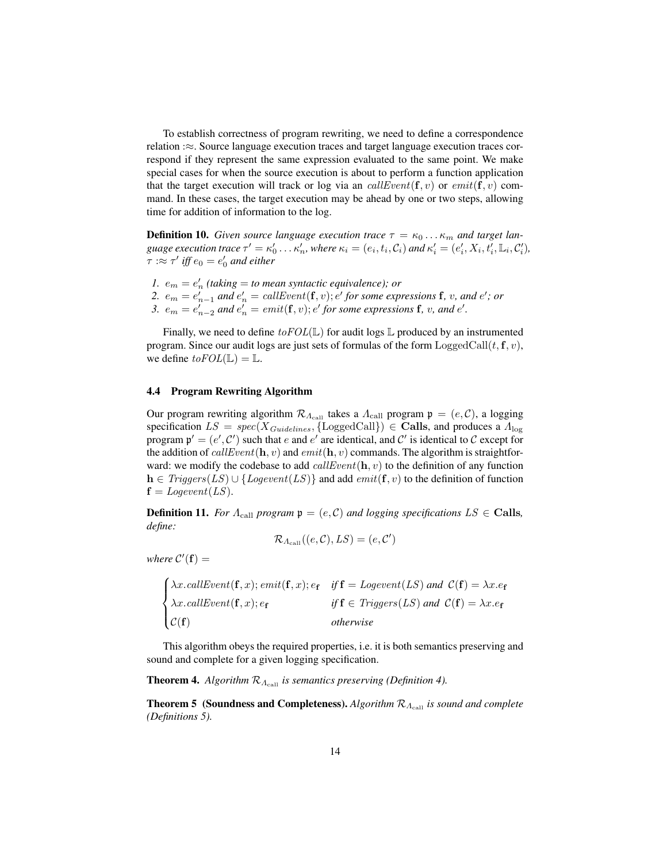To establish correctness of program rewriting, we need to define a correspondence relation :≈. Source language execution traces and target language execution traces correspond if they represent the same expression evaluated to the same point. We make special cases for when the source execution is about to perform a function application that the target execution will track or log via an *callEvent*( $f, v$ ) or *emit*( $f, v$ ) command. In these cases, the target execution may be ahead by one or two steps, allowing time for addition of information to the log.

**Definition 10.** *Given source language execution trace*  $\tau = \kappa_0 \dots \kappa_m$  *and target language execution trace*  $\tau' = \kappa'_0 \dots \kappa'_n$ , where  $\kappa_i = (e_i, t_i, C_i)$  and  $\kappa'_i = (e'_i, X_i, t'_i, \mathbb{L}_i, C'_i)$ ,  $\tau : \approx \tau'$  iff  $e_0 = e'_0$  and either

*1.*  $e_m = e'_n$  (taking  $=$  to mean syntactic equivalence); or 2.  $e_m = e'_{n-1}$  and  $e'_n = \text{callEvent}(\mathbf{f}, v)$ ; e' for some expressions  $\mathbf{f}, v$ , and  $e'$ ; or 3.  $e_m = e'_{n-2}$  and  $e'_n = emit(\mathbf{f}, v)$ ; *e'* for some expressions **f**, *v*, and *e'*.

Finally, we need to define  $toFOL(\mathbb{L})$  for audit logs  $\mathbb L$  produced by an instrumented program. Since our audit logs are just sets of formulas of the form  $\text{LoggedCall}(t,\mathbf{f}, v)$ , we define  $toFOL(\mathbb{L})=\mathbb{L}$ .

### 4.4 Program Rewriting Algorithm

Our program rewriting algorithm  $\mathcal{R}_{A_{\text{call}}}$  takes a  $A_{\text{call}}$  program  $\mathfrak{p} = (e, \mathcal{C})$ , a logging specification  $LS = spec(X_{Guidelines}, \{LoggedCall\}) \in$  Calls, and produces a  $\Lambda_{\text{log}}$ program  $\mathfrak{p}' = (e', \mathcal{C}')$  such that e and  $e'$  are identical, and  $\mathcal{C}'$  is identical to  $\mathcal C$  except for the addition of callEvent(h, v) and emit(h, v) commands. The algorithm is straightforward: we modify the codebase to add  $callEvent(\mathbf{h}, v)$  to the definition of any function h ∈  $Triggers(LS) \cup \{Logevent(LS)\}\$ and add  $emit(f, v)$  to the definition of function  $f = Logevent(LS)).$ 

**Definition 11.** *For*  $\Lambda_{\text{call}}$  *program*  $\mathfrak{p} = (e, \mathcal{C})$  *and logging specifications*  $LS \in$  **Calls***, define:*

$$
\mathcal{R}_{\Lambda_{\operatorname{call}}}( (e, \mathcal{C}), LS) = (e, \mathcal{C}')
$$

where  $\mathcal{C}'(\mathbf{f}) =$ 

$$
\begin{cases}\n\lambda x. \text{ callEvent}(\mathbf{f}, x); \text{ emit}(\mathbf{f}, x); e_{\mathbf{f}} & \text{ if } \mathbf{f} = \text{ Logevent}(LS) \text{ and } C(\mathbf{f}) = \lambda x. e_{\mathbf{f}} \\
\lambda x. \text{ callEvent}(\mathbf{f}, x); e_{\mathbf{f}} & \text{ if } \mathbf{f} \in \text{ Triggers}(LS) \text{ and } C(\mathbf{f}) = \lambda x. e_{\mathbf{f}} \\
\mathcal{C}(\mathbf{f}) & \text{otherwise}\n\end{cases}
$$

This algorithm obeys the required properties, i.e. it is both semantics preserving and sound and complete for a given logging specification.

**Theorem 4.** *Algorithm*  $\mathcal{R}_{\Lambda_{\text{call}}}$  *is semantics preserving (Definition 4).* 

Theorem 5 (Soundness and Completeness). *Algorithm*  $\mathcal{R}_{\Lambda_{\text{call}}}$  *is sound and complete (Definitions 5).*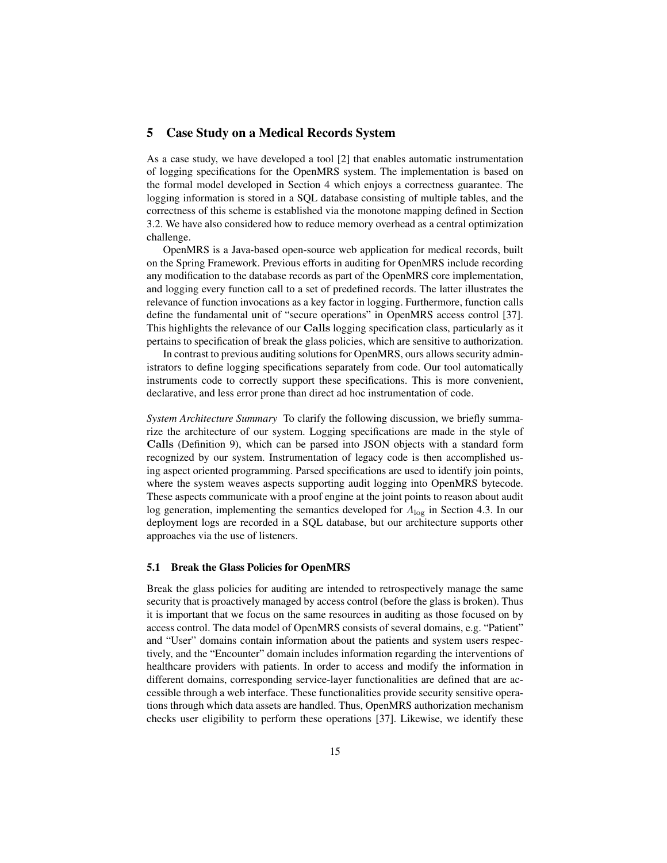# 5 Case Study on a Medical Records System

As a case study, we have developed a tool [2] that enables automatic instrumentation of logging specifications for the OpenMRS system. The implementation is based on the formal model developed in Section 4 which enjoys a correctness guarantee. The logging information is stored in a SQL database consisting of multiple tables, and the correctness of this scheme is established via the monotone mapping defined in Section 3.2. We have also considered how to reduce memory overhead as a central optimization challenge.

OpenMRS is a Java-based open-source web application for medical records, built on the Spring Framework. Previous efforts in auditing for OpenMRS include recording any modification to the database records as part of the OpenMRS core implementation, and logging every function call to a set of predefined records. The latter illustrates the relevance of function invocations as a key factor in logging. Furthermore, function calls define the fundamental unit of "secure operations" in OpenMRS access control [37]. This highlights the relevance of our Calls logging specification class, particularly as it pertains to specification of break the glass policies, which are sensitive to authorization.

In contrast to previous auditing solutions for OpenMRS, ours allows security administrators to define logging specifications separately from code. Our tool automatically instruments code to correctly support these specifications. This is more convenient, declarative, and less error prone than direct ad hoc instrumentation of code.

*System Architecture Summary* To clarify the following discussion, we briefly summarize the architecture of our system. Logging specifications are made in the style of Calls (Definition 9), which can be parsed into JSON objects with a standard form recognized by our system. Instrumentation of legacy code is then accomplished using aspect oriented programming. Parsed specifications are used to identify join points, where the system weaves aspects supporting audit logging into OpenMRS bytecode. These aspects communicate with a proof engine at the joint points to reason about audit log generation, implementing the semantics developed for  $\Lambda_{\text{loc}}$  in Section 4.3. In our deployment logs are recorded in a SQL database, but our architecture supports other approaches via the use of listeners.

### 5.1 Break the Glass Policies for OpenMRS

Break the glass policies for auditing are intended to retrospectively manage the same security that is proactively managed by access control (before the glass is broken). Thus it is important that we focus on the same resources in auditing as those focused on by access control. The data model of OpenMRS consists of several domains, e.g. "Patient" and "User" domains contain information about the patients and system users respectively, and the "Encounter" domain includes information regarding the interventions of healthcare providers with patients. In order to access and modify the information in different domains, corresponding service-layer functionalities are defined that are accessible through a web interface. These functionalities provide security sensitive operations through which data assets are handled. Thus, OpenMRS authorization mechanism checks user eligibility to perform these operations [37]. Likewise, we identify these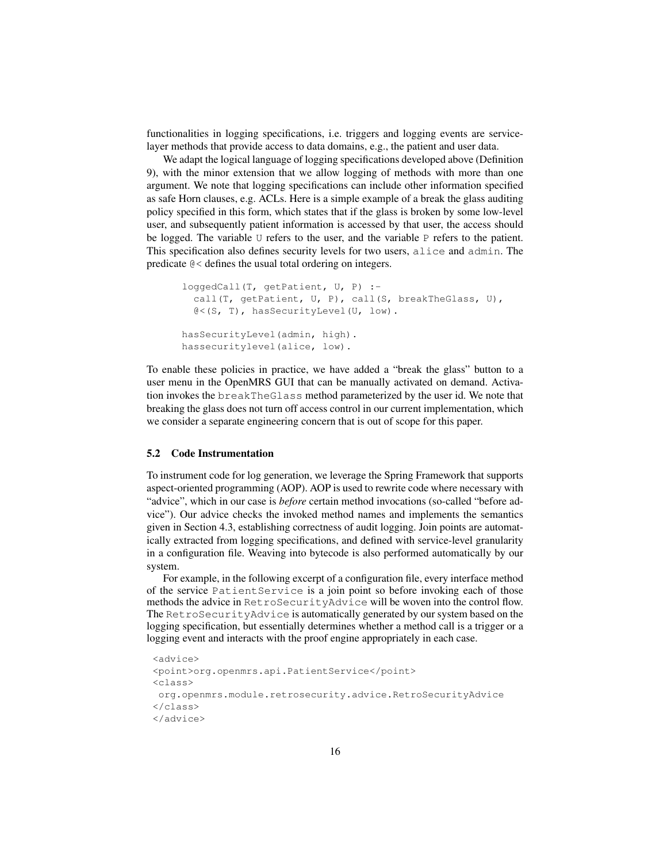functionalities in logging specifications, i.e. triggers and logging events are servicelayer methods that provide access to data domains, e.g., the patient and user data.

We adapt the logical language of logging specifications developed above (Definition 9), with the minor extension that we allow logging of methods with more than one argument. We note that logging specifications can include other information specified as safe Horn clauses, e.g. ACLs. Here is a simple example of a break the glass auditing policy specified in this form, which states that if the glass is broken by some low-level user, and subsequently patient information is accessed by that user, the access should be logged. The variable U refers to the user, and the variable P refers to the patient. This specification also defines security levels for two users, alice and admin. The predicate @< defines the usual total ordering on integers.

```
loggedCall(T, getPatient, U, P) :-
  call(T, getPatient, U, P), call(S, breakTheGlass, U),
  @<(S, T), hasSecurityLevel(U, low).
hasSecurityLevel(admin, high).
hassecuritylevel(alice, low).
```
To enable these policies in practice, we have added a "break the glass" button to a user menu in the OpenMRS GUI that can be manually activated on demand. Activation invokes the breakTheGlass method parameterized by the user id. We note that breaking the glass does not turn off access control in our current implementation, which we consider a separate engineering concern that is out of scope for this paper.

### 5.2 Code Instrumentation

To instrument code for log generation, we leverage the Spring Framework that supports aspect-oriented programming (AOP). AOP is used to rewrite code where necessary with "advice", which in our case is *before* certain method invocations (so-called "before advice"). Our advice checks the invoked method names and implements the semantics given in Section 4.3, establishing correctness of audit logging. Join points are automatically extracted from logging specifications, and defined with service-level granularity in a configuration file. Weaving into bytecode is also performed automatically by our system.

For example, in the following excerpt of a configuration file, every interface method of the service PatientService is a join point so before invoking each of those methods the advice in RetroSecurityAdvice will be woven into the control flow. The RetroSecurityAdvice is automatically generated by our system based on the logging specification, but essentially determines whether a method call is a trigger or a logging event and interacts with the proof engine appropriately in each case.

```
<advice>
<point>org.openmrs.api.PatientService</point>
<class>
org.openmrs.module.retrosecurity.advice.RetroSecurityAdvice
</class>
</advice>
```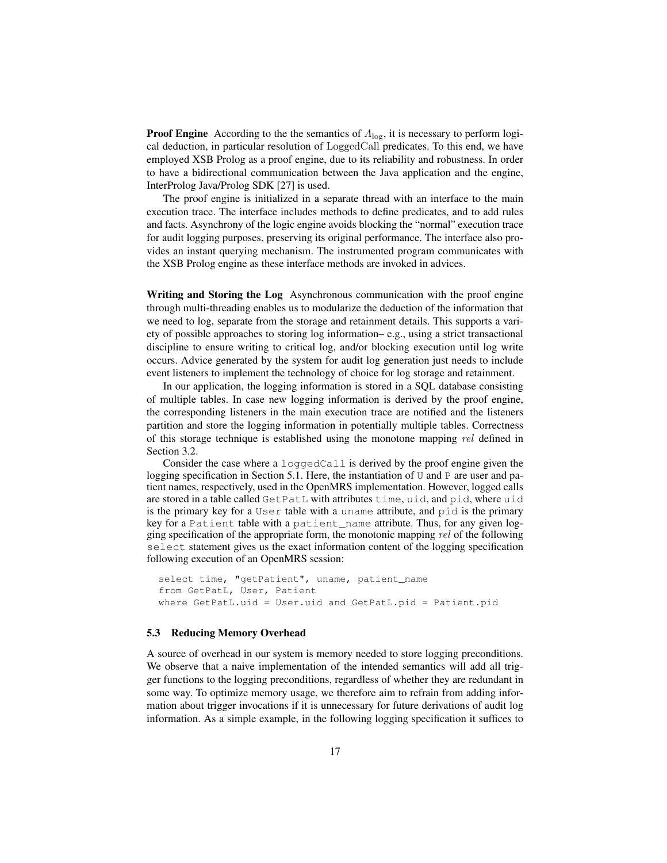**Proof Engine** According to the the semantics of  $\Lambda_{\text{log}}$ , it is necessary to perform logical deduction, in particular resolution of LoggedCall predicates. To this end, we have employed XSB Prolog as a proof engine, due to its reliability and robustness. In order to have a bidirectional communication between the Java application and the engine, InterProlog Java/Prolog SDK [27] is used.

The proof engine is initialized in a separate thread with an interface to the main execution trace. The interface includes methods to define predicates, and to add rules and facts. Asynchrony of the logic engine avoids blocking the "normal" execution trace for audit logging purposes, preserving its original performance. The interface also provides an instant querying mechanism. The instrumented program communicates with the XSB Prolog engine as these interface methods are invoked in advices.

Writing and Storing the Log Asynchronous communication with the proof engine through multi-threading enables us to modularize the deduction of the information that we need to log, separate from the storage and retainment details. This supports a variety of possible approaches to storing log information– e.g., using a strict transactional discipline to ensure writing to critical log, and/or blocking execution until log write occurs. Advice generated by the system for audit log generation just needs to include event listeners to implement the technology of choice for log storage and retainment.

In our application, the logging information is stored in a SQL database consisting of multiple tables. In case new logging information is derived by the proof engine, the corresponding listeners in the main execution trace are notified and the listeners partition and store the logging information in potentially multiple tables. Correctness of this storage technique is established using the monotone mapping rel defined in Section 3.2.

Consider the case where a  $logqedCall$  is derived by the proof engine given the logging specification in Section 5.1. Here, the instantiation of U and P are user and patient names, respectively, used in the OpenMRS implementation. However, logged calls are stored in a table called GetPatL with attributes time, uid, and pid, where uid is the primary key for a User table with a uname attribute, and pid is the primary key for a Patient table with a patient name attribute. Thus, for any given logging specification of the appropriate form, the monotonic mapping rel of the following select statement gives us the exact information content of the logging specification following execution of an OpenMRS session:

```
select time, "getPatient", uname, patient_name
from GetPatL, User, Patient
where GetPatL.uid = User.uid and GetPatL.pid = Patient.pid
```
### 5.3 Reducing Memory Overhead

A source of overhead in our system is memory needed to store logging preconditions. We observe that a naive implementation of the intended semantics will add all trigger functions to the logging preconditions, regardless of whether they are redundant in some way. To optimize memory usage, we therefore aim to refrain from adding information about trigger invocations if it is unnecessary for future derivations of audit log information. As a simple example, in the following logging specification it suffices to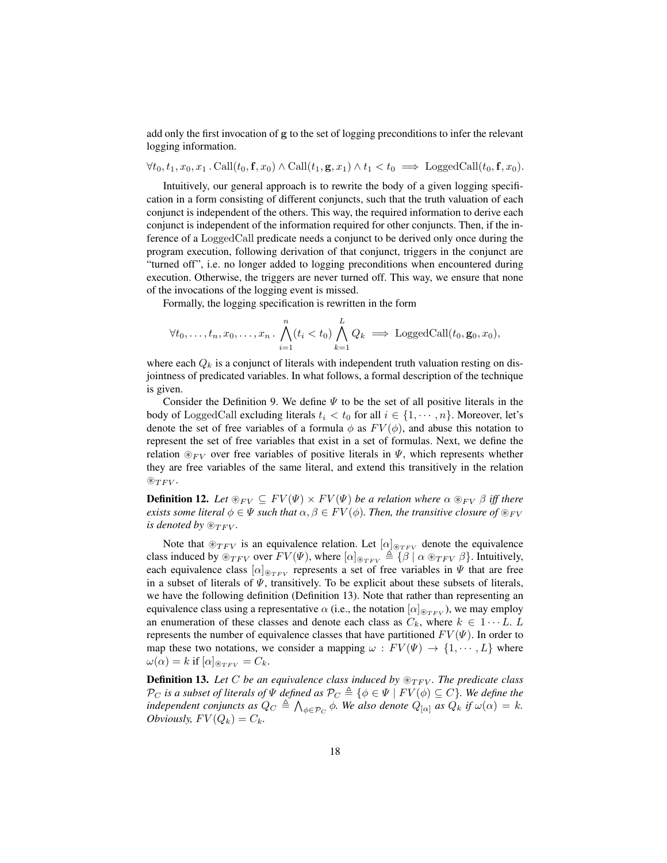add only the first invocation of g to the set of logging preconditions to infer the relevant logging information.

 $\forall t_0, t_1, x_0, x_1 \ldots \text{Call}(t_0, \mathbf{f}, x_0) \wedge \text{Call}(t_1, \mathbf{g}, x_1) \wedge t_1 < t_0 \implies \text{LoggedCall}(t_0, \mathbf{f}, x_0).$ 

Intuitively, our general approach is to rewrite the body of a given logging specification in a form consisting of different conjuncts, such that the truth valuation of each conjunct is independent of the others. This way, the required information to derive each conjunct is independent of the information required for other conjuncts. Then, if the inference of a LoggedCall predicate needs a conjunct to be derived only once during the program execution, following derivation of that conjunct, triggers in the conjunct are "turned off", i.e. no longer added to logging preconditions when encountered during execution. Otherwise, the triggers are never turned off. This way, we ensure that none of the invocations of the logging event is missed.

Formally, the logging specification is rewritten in the form

$$
\forall t_0,\ldots,t_n,x_0,\ldots,x_n \,.\, \bigwedge_{i=1}^n (t_i < t_0) \bigwedge_{k=1}^L Q_k \implies \text{LoggedCall}(t_0,\mathbf{g}_0,x_0),
$$

where each  $Q_k$  is a conjunct of literals with independent truth valuation resting on disjointness of predicated variables. In what follows, a formal description of the technique is given.

Consider the Definition 9. We define  $\Psi$  to be the set of all positive literals in the body of LoggedCall excluding literals  $t_i < t_0$  for all  $i \in \{1, \dots, n\}$ . Moreover, let's denote the set of free variables of a formula  $\phi$  as  $FV(\phi)$ , and abuse this notation to represent the set of free variables that exist in a set of formulas. Next, we define the relation  $\mathcal{D}_{FV}$  over free variables of positive literals in  $\Psi$ , which represents whether they are free variables of the same literal, and extend this transitively in the relation  $\circledast_{TFV}.$ 

**Definition 12.** Let  $\mathscr{F}_{FV} \subseteq FV(\Psi) \times FV(\Psi)$  be a relation where  $\alpha \mathscr{F}_{FV} \beta$  iff there *exists some literal*  $\phi \in \Psi$  *such that*  $\alpha, \beta \in FV(\phi)$ *. Then, the transitive closure of*  $\mathscr{D}_{FV}$ *is denoted by*  $\circledast_{TFV}$ *.* 

Note that  $\otimes_{TFV}$  is an equivalence relation. Let  $[\alpha]_{\otimes_{TFV}}$  denote the equivalence class induced by  $\circledast_{TFV}$  over  $FV(\Psi)$ , where  $[\alpha]_{\circledast_{TFV}} \triangleq {\check{\beta}}^* \upharpoonright \alpha \circledast_{TFV} \beta$ . Intuitively, each equivalence class  $[\alpha]_{\circledast_{TFV}}$  represents a set of free variables in  $\Psi$  that are free in a subset of literals of  $\Psi$ , transitively. To be explicit about these subsets of literals, we have the following definition (Definition 13). Note that rather than representing an equivalence class using a representative  $\alpha$  (i.e., the notation  $[\alpha]_{\otimes_{TFV}}$ ), we may employ an enumeration of these classes and denote each class as  $C_k$ , where  $k \in 1 \cdots L$ . L represents the number of equivalence classes that have partitioned  $FV(\Psi)$ . In order to map these two notations, we consider a mapping  $\omega : FV(\Psi) \to \{1, \dots, L\}$  where  $\omega(\alpha) = k \text{ if } [\alpha]_{\circledast_{TEV}} = C_k.$ 

**Definition 13.** Let C be an equivalence class induced by  $\mathscr{D}_{TFV}$ . The predicate class  $\mathcal{P}_C$  *is a subset of literals of*  $\Psi$  *defined as*  $\mathcal{P}_C \triangleq \{ \phi \in \Psi \mid FV(\phi) \subseteq C \}$ *. We define the independent conjuncts as*  $Q_C \triangleq \bigwedge_{\phi \in \mathcal{P}_C} \phi$ *. We also denote*  $Q_{[\alpha]}$  *as*  $Q_k$  *if*  $\omega(\alpha) = k$ *. Obviously,*  $FV(Q_k) = C_k$ .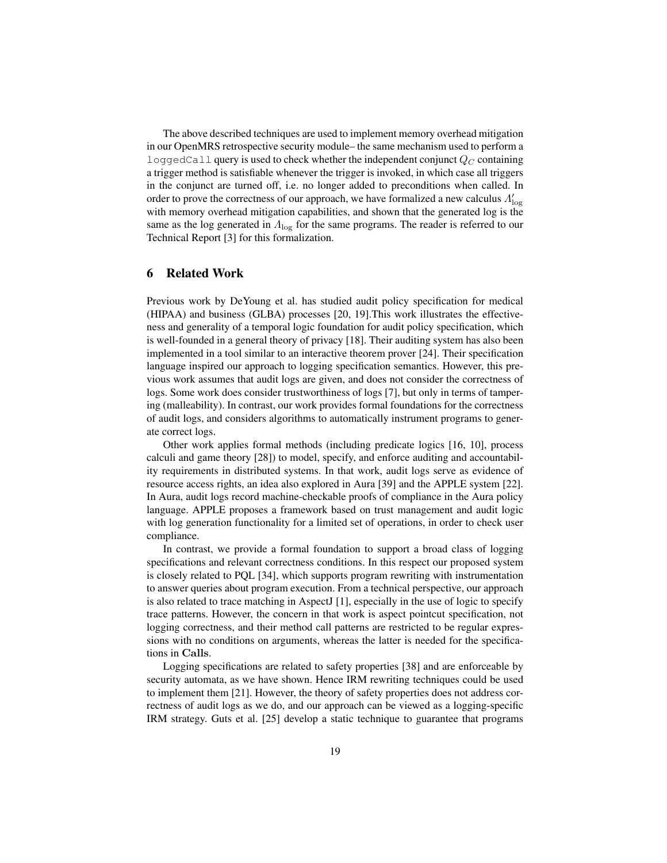The above described techniques are used to implement memory overhead mitigation in our OpenMRS retrospective security module– the same mechanism used to perform a loggedCall query is used to check whether the independent conjunct  $Q_C$  containing a trigger method is satisfiable whenever the trigger is invoked, in which case all triggers in the conjunct are turned off, i.e. no longer added to preconditions when called. In order to prove the correctness of our approach, we have formalized a new calculus  $\Lambda'_{\text{log}}$ with memory overhead mitigation capabilities, and shown that the generated log is the same as the log generated in  $\Lambda_{\text{log}}$  for the same programs. The reader is referred to our Technical Report [3] for this formalization.

# 6 Related Work

Previous work by DeYoung et al. has studied audit policy specification for medical (HIPAA) and business (GLBA) processes [20, 19].This work illustrates the effectiveness and generality of a temporal logic foundation for audit policy specification, which is well-founded in a general theory of privacy [18]. Their auditing system has also been implemented in a tool similar to an interactive theorem prover [24]. Their specification language inspired our approach to logging specification semantics. However, this previous work assumes that audit logs are given, and does not consider the correctness of logs. Some work does consider trustworthiness of logs [7], but only in terms of tampering (malleability). In contrast, our work provides formal foundations for the correctness of audit logs, and considers algorithms to automatically instrument programs to generate correct logs.

Other work applies formal methods (including predicate logics [16, 10], process calculi and game theory [28]) to model, specify, and enforce auditing and accountability requirements in distributed systems. In that work, audit logs serve as evidence of resource access rights, an idea also explored in Aura [39] and the APPLE system [22]. In Aura, audit logs record machine-checkable proofs of compliance in the Aura policy language. APPLE proposes a framework based on trust management and audit logic with log generation functionality for a limited set of operations, in order to check user compliance.

In contrast, we provide a formal foundation to support a broad class of logging specifications and relevant correctness conditions. In this respect our proposed system is closely related to PQL [34], which supports program rewriting with instrumentation to answer queries about program execution. From a technical perspective, our approach is also related to trace matching in AspectJ [1], especially in the use of logic to specify trace patterns. However, the concern in that work is aspect pointcut specification, not logging correctness, and their method call patterns are restricted to be regular expressions with no conditions on arguments, whereas the latter is needed for the specifications in Calls.

Logging specifications are related to safety properties [38] and are enforceable by security automata, as we have shown. Hence IRM rewriting techniques could be used to implement them [21]. However, the theory of safety properties does not address correctness of audit logs as we do, and our approach can be viewed as a logging-specific IRM strategy. Guts et al. [25] develop a static technique to guarantee that programs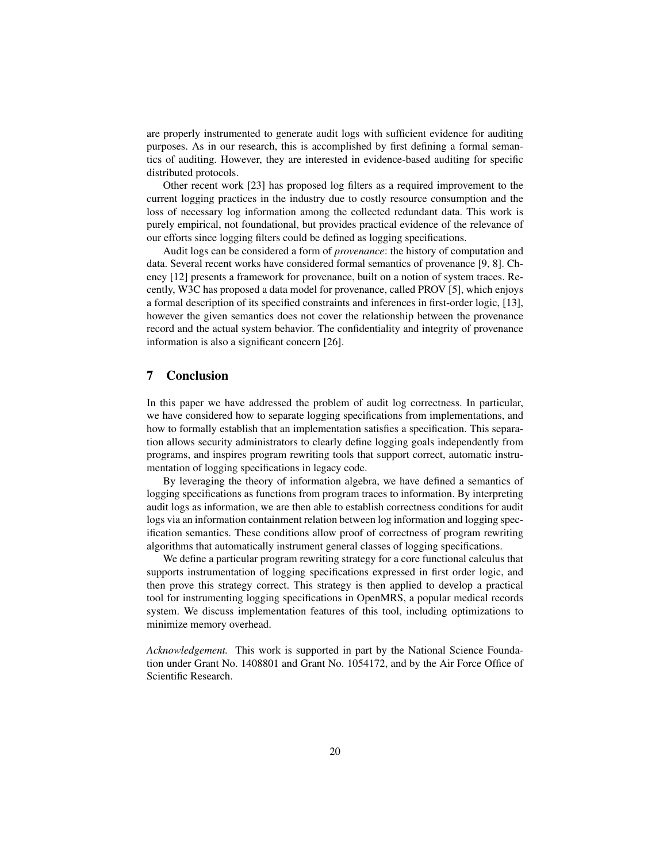are properly instrumented to generate audit logs with sufficient evidence for auditing purposes. As in our research, this is accomplished by first defining a formal semantics of auditing. However, they are interested in evidence-based auditing for specific distributed protocols.

Other recent work [23] has proposed log filters as a required improvement to the current logging practices in the industry due to costly resource consumption and the loss of necessary log information among the collected redundant data. This work is purely empirical, not foundational, but provides practical evidence of the relevance of our efforts since logging filters could be defined as logging specifications.

Audit logs can be considered a form of *provenance*: the history of computation and data. Several recent works have considered formal semantics of provenance [9, 8]. Cheney [12] presents a framework for provenance, built on a notion of system traces. Recently, W3C has proposed a data model for provenance, called PROV [5], which enjoys a formal description of its specified constraints and inferences in first-order logic, [13], however the given semantics does not cover the relationship between the provenance record and the actual system behavior. The confidentiality and integrity of provenance information is also a significant concern [26].

# 7 Conclusion

In this paper we have addressed the problem of audit log correctness. In particular, we have considered how to separate logging specifications from implementations, and how to formally establish that an implementation satisfies a specification. This separation allows security administrators to clearly define logging goals independently from programs, and inspires program rewriting tools that support correct, automatic instrumentation of logging specifications in legacy code.

By leveraging the theory of information algebra, we have defined a semantics of logging specifications as functions from program traces to information. By interpreting audit logs as information, we are then able to establish correctness conditions for audit logs via an information containment relation between log information and logging specification semantics. These conditions allow proof of correctness of program rewriting algorithms that automatically instrument general classes of logging specifications.

We define a particular program rewriting strategy for a core functional calculus that supports instrumentation of logging specifications expressed in first order logic, and then prove this strategy correct. This strategy is then applied to develop a practical tool for instrumenting logging specifications in OpenMRS, a popular medical records system. We discuss implementation features of this tool, including optimizations to minimize memory overhead.

*Acknowledgement.* This work is supported in part by the National Science Foundation under Grant No. 1408801 and Grant No. 1054172, and by the Air Force Office of Scientific Research.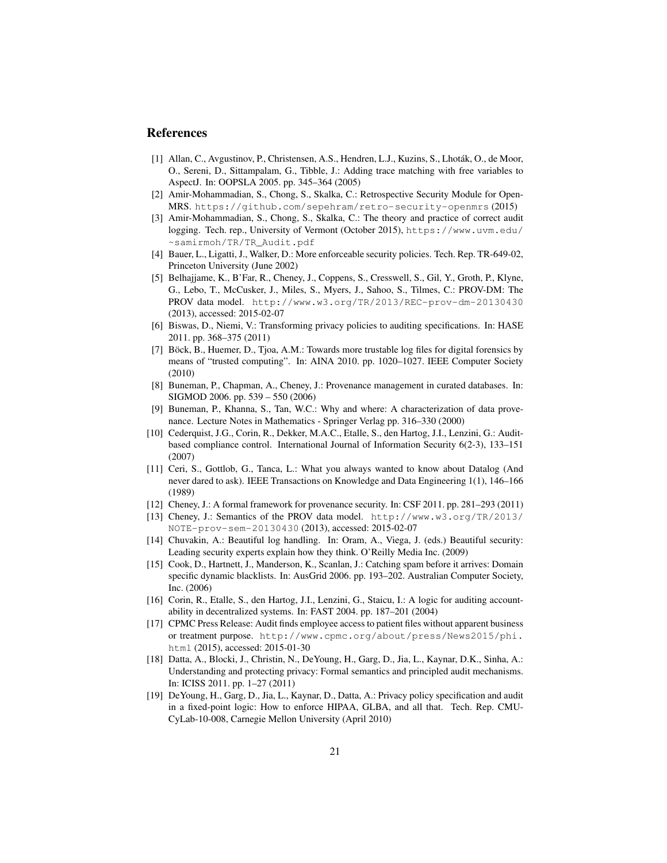# References

- [1] Allan, C., Avgustinov, P., Christensen, A.S., Hendren, L.J., Kuzins, S., Lhoták, O., de Moor, O., Sereni, D., Sittampalam, G., Tibble, J.: Adding trace matching with free variables to AspectJ. In: OOPSLA 2005. pp. 345–364 (2005)
- [2] Amir-Mohammadian, S., Chong, S., Skalka, C.: Retrospective Security Module for Open-MRS. https://github.com/sepehram/retro-security-openmrs (2015)
- [3] Amir-Mohammadian, S., Chong, S., Skalka, C.: The theory and practice of correct audit logging. Tech. rep., University of Vermont (October 2015), https://www.uvm.edu/ ~samirmoh/TR/TR\_Audit.pdf
- [4] Bauer, L., Ligatti, J., Walker, D.: More enforceable security policies. Tech. Rep. TR-649-02, Princeton University (June 2002)
- [5] Belhajjame, K., B'Far, R., Cheney, J., Coppens, S., Cresswell, S., Gil, Y., Groth, P., Klyne, G., Lebo, T., McCusker, J., Miles, S., Myers, J., Sahoo, S., Tilmes, C.: PROV-DM: The PROV data model. http://www.w3.org/TR/2013/REC-prov-dm-20130430 (2013), accessed: 2015-02-07
- [6] Biswas, D., Niemi, V.: Transforming privacy policies to auditing specifications. In: HASE 2011. pp. 368–375 (2011)
- [7] Böck, B., Huemer, D., Tjoa, A.M.: Towards more trustable log files for digital forensics by means of "trusted computing". In: AINA 2010. pp. 1020–1027. IEEE Computer Society (2010)
- [8] Buneman, P., Chapman, A., Cheney, J.: Provenance management in curated databases. In: SIGMOD 2006. pp. 539 – 550 (2006)
- [9] Buneman, P., Khanna, S., Tan, W.C.: Why and where: A characterization of data provenance. Lecture Notes in Mathematics - Springer Verlag pp. 316–330 (2000)
- [10] Cederquist, J.G., Corin, R., Dekker, M.A.C., Etalle, S., den Hartog, J.I., Lenzini, G.: Auditbased compliance control. International Journal of Information Security 6(2-3), 133–151 (2007)
- [11] Ceri, S., Gottlob, G., Tanca, L.: What you always wanted to know about Datalog (And never dared to ask). IEEE Transactions on Knowledge and Data Engineering 1(1), 146–166 (1989)
- [12] Cheney, J.: A formal framework for provenance security. In: CSF 2011. pp. 281–293 (2011)
- [13] Cheney, J.: Semantics of the PROV data model. http://www.w3.org/TR/2013/ NOTE-prov-sem-20130430 (2013), accessed: 2015-02-07
- [14] Chuvakin, A.: Beautiful log handling. In: Oram, A., Viega, J. (eds.) Beautiful security: Leading security experts explain how they think. O'Reilly Media Inc. (2009)
- [15] Cook, D., Hartnett, J., Manderson, K., Scanlan, J.: Catching spam before it arrives: Domain specific dynamic blacklists. In: AusGrid 2006. pp. 193–202. Australian Computer Society, Inc. (2006)
- [16] Corin, R., Etalle, S., den Hartog, J.I., Lenzini, G., Staicu, I.: A logic for auditing accountability in decentralized systems. In: FAST 2004. pp. 187–201 (2004)
- [17] CPMC Press Release: Audit finds employee access to patient files without apparent business or treatment purpose. http://www.cpmc.org/about/press/News2015/phi. html (2015), accessed: 2015-01-30
- [18] Datta, A., Blocki, J., Christin, N., DeYoung, H., Garg, D., Jia, L., Kaynar, D.K., Sinha, A.: Understanding and protecting privacy: Formal semantics and principled audit mechanisms. In: ICISS 2011. pp. 1–27 (2011)
- [19] DeYoung, H., Garg, D., Jia, L., Kaynar, D., Datta, A.: Privacy policy specification and audit in a fixed-point logic: How to enforce HIPAA, GLBA, and all that. Tech. Rep. CMU-CyLab-10-008, Carnegie Mellon University (April 2010)